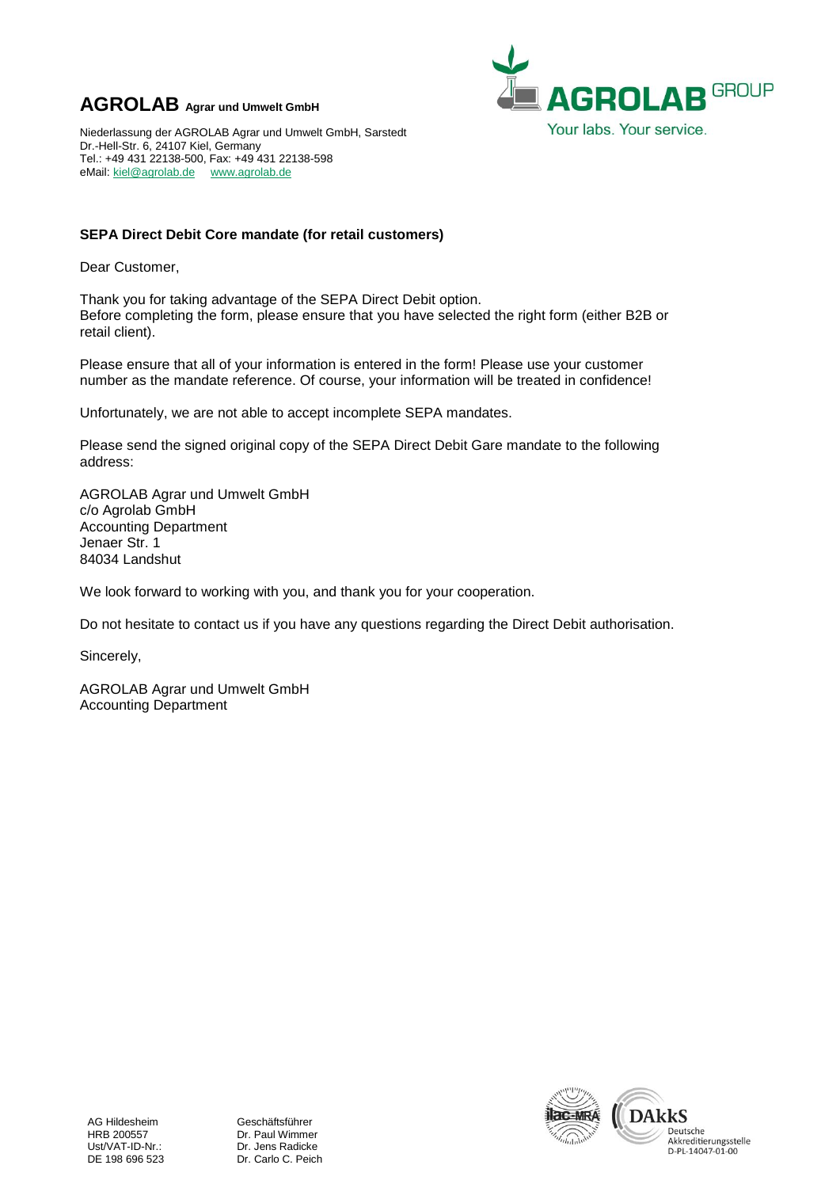## **AGROLAB Agrar und Umwelt GmbH**



Niederlassung der AGROLAB Agrar und Umwelt GmbH, Sarstedt Dr.-Hell-Str. 6, 24107 Kiel, Germany Tel.: +49 431 22138-500, Fax: +49 431 22138-598 eMail: [kiel@agrolab.de](mailto:kiel@agrolab.de) [www.agrolab.de](http://www.agrolab.de/)

## **SEPA Direct Debit Core mandate (for retail customers)**

Dear Customer,

Thank you for taking advantage of the SEPA Direct Debit option. Before completing the form, please ensure that you have selected the right form (either B2B or retail client).

Please ensure that all of your information is entered in the form! Please use your customer number as the mandate reference. Of course, your information will be treated in confidence!

Unfortunately, we are not able to accept incomplete SEPA mandates.

Please send the signed original copy of the SEPA Direct Debit Gare mandate to the following address:

AGROLAB Agrar und Umwelt GmbH c/o Agrolab GmbH Accounting Department Jenaer Str. 1 84034 Landshut

We look forward to working with you, and thank you for your cooperation.

Do not hesitate to contact us if you have any questions regarding the Direct Debit authorisation.

Sincerely,

AGROLAB Agrar und Umwelt GmbH Accounting Department